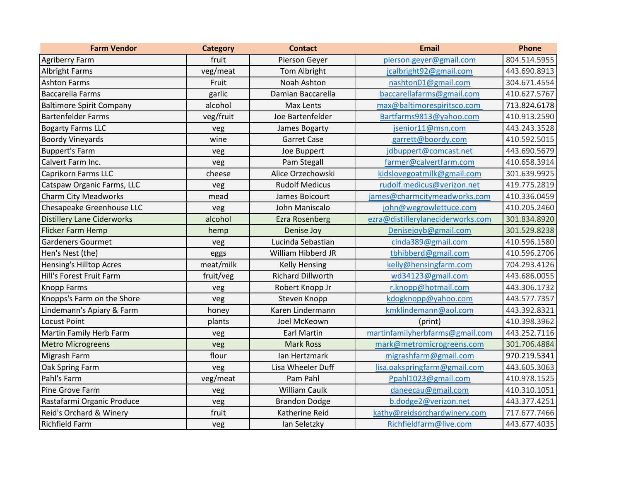| <b>Farm Vendor</b>                | <b>Category</b> | <b>Contact</b>           | <b>Email</b>                      | <b>Phone</b> |
|-----------------------------------|-----------------|--------------------------|-----------------------------------|--------------|
| <b>Agriberry Farm</b>             | fruit           | Pierson Geyer            | pierson.geyer@gmail.com           | 804.514.5955 |
| <b>Albright Farms</b>             | veg/meat        | Tom Albright             | jcalbright92@gmail.com            | 443.690.8913 |
| <b>Ashton Farms</b>               | Fruit           | Noah Ashton              | nashton01@gmail.com               | 304.671.4554 |
| <b>Baccarella Farms</b>           | garlic          | Damian Baccarella        | baccarellafarms@gmail.com         | 410.627.5767 |
| <b>Baltimore Spirit Company</b>   | alcohol         | Max Lents                | max@baltimorespiritsco.com        | 713.824.6178 |
| <b>Bartenfelder Farms</b>         | veg/fruit       | Joe Bartenfelder         | Bartfarms9813@yahoo.com           | 410.913.2590 |
| <b>Bogarty Farms LLC</b>          | veg             | James Bogarty            | jsenior11@msn.com                 | 443.243.3528 |
| <b>Boordy Vineyards</b>           | wine            | <b>Garret Case</b>       | garrett@boordy.com                | 410.592.5015 |
| <b>Buppert's Farm</b>             | veg             | Joe Buppert              | jdbuppert@comcast.net             | 443.690.5679 |
| Calvert Farm Inc.                 | veg             | Pam Stegall              | farmer@calvertfarm.com            | 410.658.3914 |
| Caprikorn Farms LLC               | cheese          | Alice Orzechowski        | kidslovegoatmilk@gmail.com        | 301.639.9925 |
| Catspaw Organic Farms, LLC        | veg             | <b>Rudolf Medicus</b>    | rudolf.medicus@verizon.net        | 419.775.2819 |
| <b>Charm City Meadworks</b>       | mead            | James Boicourt           | james@charmcitymeadworks.com      | 410.336.0459 |
| Chesapeake Greenhouse LLC         | veg             | John Maniscalo           | john@wegrowlettuce.com            | 410.205.2460 |
| <b>Distillery Lane Ciderworks</b> | alcohol         | <b>Ezra Rosenberg</b>    | ezra@distillerylaneciderworks.com | 301.834.8920 |
| Flicker Farm Hemp                 | hemp            | Denise Joy               | Denisejoyb@gmail.com              | 301.529.8238 |
| <b>Gardeners Gourmet</b>          | veg             | Lucinda Sebastian        | cinda389@gmail.com                | 410.596.1580 |
| Hen's Nest (the)                  | eggs            | William Hibberd JR       | tbhibberd@gmail.com               | 410.596.2706 |
| <b>Hensing's Hilltop Acres</b>    | meat/milk       | <b>Kelly Hensing</b>     | kelly@hensingfarm.com             | 704.293.4126 |
| Hill's Forest Fruit Farm          | fruit/veg       | <b>Richard Dillworth</b> | wd34123@gmail.com                 | 443.686.0055 |
| <b>Knopp Farms</b>                | veg             | Robert Knopp Jr          | r.knopp@hotmail.com               | 443.306.1732 |
| Knopps's Farm on the Shore        | veg             | Steven Knopp             | kdogknopp@yahoo.com               | 443.577.7357 |
| Lindemann's Apiary & Farm         | honey           | Karen Lindermann         | kmklindemann@aol.com              | 443.392.8321 |
| <b>Locust Point</b>               | plants          | Joel McKeown             | (print)                           | 410.398.3962 |
| <b>Martin Family Herb Farm</b>    | veg             | <b>Earl Martin</b>       | martinfamilyherbfarms@gmail.com   | 443.252.7116 |
| <b>Metro Microgreens</b>          | veg             | <b>Mark Ross</b>         | mark@metromicrogreens.com         | 301.706.4884 |
| Migrash Farm                      | flour           | Ian Hertzmark            | migrashfarm@gmail.com             | 970.219.5341 |
| Oak Spring Farm                   | veg             | Lisa Wheeler Duff        | lisa.oakspringfarm@gmail.com      | 443.605.3063 |
| Pahl's Farm                       | veg/meat        | Pam Pahl                 | Ppahl1023@gmail.com               | 410.978.1525 |
| Pine Grove Farm                   | veg             | <b>William Caulk</b>     | daneecau@gmail.com                | 410.310.1051 |
| Rastafarmi Organic Produce        | veg             | <b>Brandon Dodge</b>     | b.dodge2@verizon.net              | 443.377.4251 |
| Reid's Orchard & Winery           | fruit           | Katherine Reid           | kathy@reidsorchardwinery.com      | 717.677.7466 |
| <b>Richfield Farm</b>             | veg             | Ian Seletzky             | Richfieldfarm@live.com            | 443.677.4035 |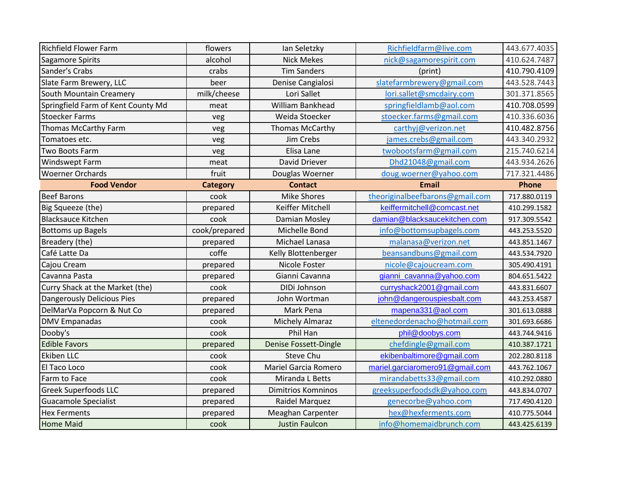| <b>Richfield Flower Farm</b>       | flowers         | lan Seletzky              | Richfieldfarm@live.com          | 443.677.4035 |
|------------------------------------|-----------------|---------------------------|---------------------------------|--------------|
| Sagamore Spirits                   | alcohol         | <b>Nick Mekes</b>         | nick@sagamorespirit.com         | 410.624.7487 |
| Sander's Crabs                     | crabs           | <b>Tim Sanders</b>        | (print)                         | 410.790.4109 |
| Slate Farm Brewery, LLC            | beer            | Denise Cangialosi         | slatefarmbrewery@gmail.com      | 443.528.7443 |
| South Mountain Creamery            | milk/cheese     | Lori Sallet               | lori.sallet@smcdairy.com        | 301.371.8565 |
| Springfield Farm of Kent County Md | meat            | William Bankhead          | springfieldlamb@aol.com         | 410.708.0599 |
| <b>Stoecker Farms</b>              | veg             | Weida Stoecker            | stoecker.farms@gmail.com        | 410.336.6036 |
| Thomas McCarthy Farm               | veg             | Thomas McCarthy           | carthyj@verizon.net             | 410.482.8756 |
| Tomatoes etc.                      | veg             | Jim Crebs                 | james.crebs@gmail.com           | 443.340.2932 |
| Two Boots Farm                     | veg             | Elisa Lane                | twobootsfarm@gmail.com          | 215.740.6214 |
| <b>Windswept Farm</b>              | meat            | David Driever             | Dhd21048@gmail.com              | 443.934.2626 |
| <b>Woerner Orchards</b>            | fruit           | Douglas Woerner           | doug.woerner@yahoo.com          | 717.321.4486 |
| <b>Food Vendor</b>                 | <b>Category</b> | <b>Contact</b>            | <b>Email</b>                    | <b>Phone</b> |
| <b>Beef Barons</b>                 | cook            | <b>Mike Shores</b>        | theoriginalbeefbarons@gmail.com | 717.880.0119 |
| Big Squeeze (the)                  | prepared        | Keiffer Mitchell          | keiffermitchell@comcast.net     | 410.299.1582 |
| <b>Blacksauce Kitchen</b>          | cook            | Damian Mosley             | damian@blacksaucekitchen.com    | 917.309.5542 |
| <b>Bottoms up Bagels</b>           | cook/prepared   | Michelle Bond             | info@bottomsupbagels.com        | 443.253.5520 |
| Breadery (the)                     | prepared        | Michael Lanasa            | malanasa@verizon.net            | 443.851.1467 |
| Café Latte Da                      | coffe           | Kelly Blottenberger       | beansandbuns@gmail.com          | 443.534.7920 |
| Cajou Cream                        | prepared        | Nicole Foster             | nicole@cajoucream.com           | 305.490.4191 |
| Cavanna Pasta                      | prepared        | Gianni Cavanna            | gianni_cavanna@yahoo.com        | 804.651.5422 |
| Curry Shack at the Market (the)    | cook            | DIDi Johnson              | curryshack2001@gmail.com        | 443.831.6607 |
| Dangerously Delicious Pies         | prepared        | John Wortman              | john@dangerouspiesbalt.com      | 443.253.4587 |
| DelMarVa Popcorn & Nut Co          | prepared        | Mark Pena                 | mapena331@aol.com               | 301.613.0888 |
| <b>DMV Empanadas</b>               | cook            | <b>Michely Almaraz</b>    | eltenedordenacho@hotmail.com    | 301.693.6686 |
| Dooby's                            | cook            | Phil Han                  | phil@doobys.com                 | 443.744.9416 |
| <b>Edible Favors</b>               | prepared        | Denise Fossett-Dingle     | chefdingle@gmail.com            | 410.387.1721 |
| <b>Ekiben LLC</b>                  | cook            | Steve Chu                 | ekibenbaltimore@gmail.com       | 202.280.8118 |
| El Taco Loco                       | cook            | Mariel Garcia Romero      | mariel.garciaromero91@gmail.com | 443.762.1067 |
| Farm to Face                       | cook            | Miranda L Betts           | mirandabetts33@gmail.com        | 410.292.0880 |
| <b>Greek Superfoods LLC</b>        | prepared        | <b>Dimitrios Komninos</b> | greeksuperfoodsdk@yahoo.com     | 443.834.0707 |
| <b>Guacamole Specialist</b>        | prepared        | Raidel Marquez            | genecorbe@yahoo.com             | 717.490.4120 |
| <b>Hex Ferments</b>                | prepared        | Meaghan Carpenter         | hex@hexferments.com             | 410.775.5044 |
| <b>Home Maid</b>                   | cook            | <b>Justin Faulcon</b>     | info@homemaidbrunch.com         | 443.425.6139 |